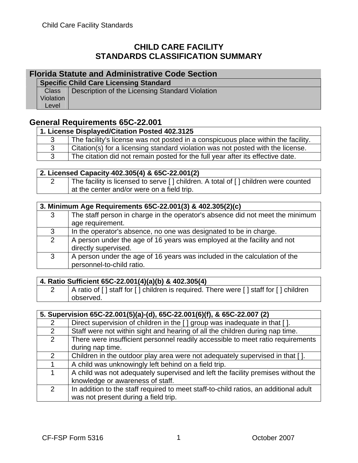## **CHILD CARE FACILITY STANDARDS CLASSIFICATION SUMMARY**

#### **Florida Statute and Administrative Code Section**

**Specific Child Care Licensing Standard** 

|           | Class   Description of the Licensing Standard Violation |
|-----------|---------------------------------------------------------|
| Violation |                                                         |
| Level     |                                                         |

### **General Requirements 65C-22.001**

| 1. License Displayed/Citation Posted 402.3125 |                                                                                   |
|-----------------------------------------------|-----------------------------------------------------------------------------------|
|                                               | The facility's license was not posted in a conspicuous place within the facility. |
|                                               | Citation(s) for a licensing standard violation was not posted with the license.   |
|                                               | The citation did not remain posted for the full year after its effective date.    |

#### **2. Licensed Capacity 402.305(4) & 65C-22.001(2)**

|  | The facility is licensed to serve [] children. A total of [] children were counted |
|--|------------------------------------------------------------------------------------|
|  | at the center and/or were on a field trip.                                         |

|   | 3. Minimum Age Requirements 65C-22.001(3) & 402.305(2)(c)                     |  |
|---|-------------------------------------------------------------------------------|--|
| 3 | The staff person in charge in the operator's absence did not meet the minimum |  |
|   | age requirement.                                                              |  |
| 3 | In the operator's absence, no one was designated to be in charge.             |  |
| 2 | A person under the age of 16 years was employed at the facility and not       |  |
|   | directly supervised.                                                          |  |
| 3 | A person under the age of 16 years was included in the calculation of the     |  |
|   | personnel-to-child ratio.                                                     |  |

#### **4. Ratio Sufficient 65C-22.001(4)(a)(b) & 402.305(4)**

| A ratio of [] staff for [] children is required. There were [] staff for [] children |
|--------------------------------------------------------------------------------------|
| observed.                                                                            |

| 5. Supervision 65C-22.001(5)(a)-(d), 65C-22.001(6)(f), & 65C-22.007 (2) |                                                                                                                              |
|-------------------------------------------------------------------------|------------------------------------------------------------------------------------------------------------------------------|
| 2                                                                       | Direct supervision of children in the [ ] group was inadequate in that [ ].                                                  |
| 2                                                                       | Staff were not within sight and hearing of all the children during nap time.                                                 |
| 2                                                                       | There were insufficient personnel readily accessible to meet ratio requirements<br>during nap time.                          |
| 2                                                                       | Children in the outdoor play area were not adequately supervised in that [].                                                 |
|                                                                         | A child was unknowingly left behind on a field trip.                                                                         |
| 1                                                                       | A child was not adequately supervised and left the facility premises without the<br>knowledge or awareness of staff.         |
| 2                                                                       | In addition to the staff required to meet staff-to-child ratios, an additional adult<br>was not present during a field trip. |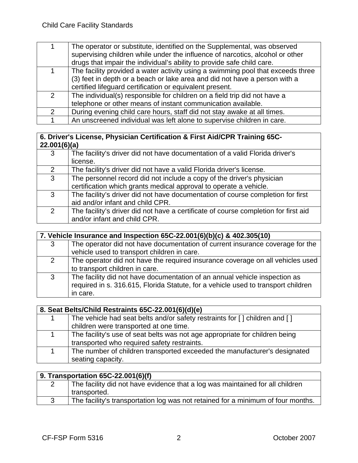|                | The operator or substitute, identified on the Supplemental, was observed        |
|----------------|---------------------------------------------------------------------------------|
|                | supervising children while under the influence of narcotics, alcohol or other   |
|                | drugs that impair the individual's ability to provide safe child care.          |
|                | The facility provided a water activity using a swimming pool that exceeds three |
|                | (3) feet in depth or a beach or lake area and did not have a person with a      |
|                | certified lifeguard certification or equivalent present.                        |
| 2              | The individual(s) responsible for children on a field trip did not have a       |
|                | telephone or other means of instant communication available.                    |
| $\overline{2}$ | During evening child care hours, staff did not stay awake at all times.         |
|                | An unscreened individual was left alone to supervise children in care.          |

#### **6. Driver's License, Physician Certification & First Aid/CPR Training 65C-22.001(6)(a)**

| 3                     | The facility's driver did not have documentation of a valid Florida driver's<br>license.                                                   |
|-----------------------|--------------------------------------------------------------------------------------------------------------------------------------------|
| $\mathbf{2}^{\prime}$ | The facility's driver did not have a valid Florida driver's license.                                                                       |
| 3                     | The personnel record did not include a copy of the driver's physician<br>certification which grants medical approval to operate a vehicle. |
| 3                     | The facility's driver did not have documentation of course completion for first<br>aid and/or infant and child CPR.                        |
| $\overline{2}$        | The facility's driver did not have a certificate of course completion for first aid<br>and/or infant and child CPR.                        |

|   | 7. Vehicle Insurance and Inspection 65C-22.001(6)(b)(c) & 402.305(10)                                                                                                       |  |
|---|-----------------------------------------------------------------------------------------------------------------------------------------------------------------------------|--|
| 3 | The operator did not have documentation of current insurance coverage for the<br>vehicle used to transport children in care.                                                |  |
| 2 | The operator did not have the required insurance coverage on all vehicles used<br>to transport children in care.                                                            |  |
| 3 | The facility did not have documentation of an annual vehicle inspection as<br>required in s. 316.615, Florida Statute, for a vehicle used to transport children<br>in care. |  |

| 8. Seat Belts/Child Restraints 65C-22.001(6)(d)(e)                          |  |
|-----------------------------------------------------------------------------|--|
| The vehicle had seat belts and/or safety restraints for [] children and []  |  |
| children were transported at one time.                                      |  |
| The facility's use of seat belts was not age appropriate for children being |  |
| transported who required safety restraints.                                 |  |
| The number of children transported exceeded the manufacturer's designated   |  |
| seating capacity.                                                           |  |

#### **9. Transportation 65C-22.001(6)(f)**  2 The facility did not have evidence that a log was maintained for all children transported. 3 The facility's transportation log was not retained for a minimum of four months.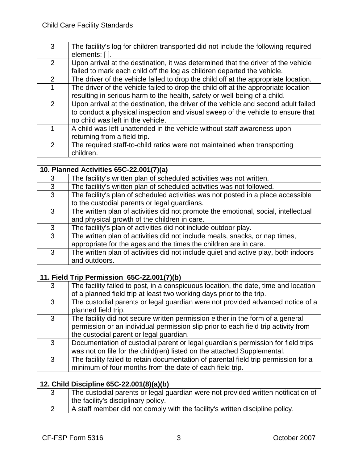| 3             | The facility's log for children transported did not include the following required  |
|---------------|-------------------------------------------------------------------------------------|
|               | elements: [].                                                                       |
| $\mathcal{P}$ | Upon arrival at the destination, it was determined that the driver of the vehicle   |
|               | failed to mark each child off the log as children departed the vehicle.             |
| $\mathcal{P}$ | The driver of the vehicle failed to drop the child off at the appropriate location. |
|               | The driver of the vehicle failed to drop the child off at the appropriate location  |
|               | resulting in serious harm to the health, safety or well-being of a child.           |
| 2             | Upon arrival at the destination, the driver of the vehicle and second adult failed  |
|               | to conduct a physical inspection and visual sweep of the vehicle to ensure that     |
|               | no child was left in the vehicle.                                                   |
|               | A child was left unattended in the vehicle without staff awareness upon             |
|               | returning from a field trip.                                                        |
| $\mathcal{P}$ | The required staff-to-child ratios were not maintained when transporting            |
|               | children.                                                                           |

|   | 10. Planned Activities 65C-22.001(7)(a)                                            |  |
|---|------------------------------------------------------------------------------------|--|
| 3 | The facility's written plan of scheduled activities was not written.               |  |
| 3 | The facility's written plan of scheduled activities was not followed.              |  |
| 3 | The facility's plan of scheduled activities was not posted in a place accessible   |  |
|   | to the custodial parents or legal guardians.                                       |  |
| 3 | The written plan of activities did not promote the emotional, social, intellectual |  |
|   | and physical growth of the children in care.                                       |  |
| 3 | The facility's plan of activities did not include outdoor play.                    |  |
| 3 | The written plan of activities did not include meals, snacks, or nap times,        |  |
|   | appropriate for the ages and the times the children are in care.                   |  |
| 3 | The written plan of activities did not include quiet and active play, both indoors |  |
|   | and outdoors.                                                                      |  |

|   | 11. Field Trip Permission 65C-22.001(7)(b)                                          |  |
|---|-------------------------------------------------------------------------------------|--|
| 3 | The facility failed to post, in a conspicuous location, the date, time and location |  |
|   | of a planned field trip at least two working days prior to the trip.                |  |
| 3 | The custodial parents or legal guardian were not provided advanced notice of a      |  |
|   | planned field trip.                                                                 |  |
| 3 | The facility did not secure written permission either in the form of a general      |  |
|   | permission or an individual permission slip prior to each field trip activity from  |  |
|   | the custodial parent or legal guardian.                                             |  |
| 3 | Documentation of custodial parent or legal guardian's permission for field trips    |  |
|   | was not on file for the child(ren) listed on the attached Supplemental.             |  |
| 3 | The facility failed to retain documentation of parental field trip permission for a |  |
|   | minimum of four months from the date of each field trip.                            |  |

#### **12. Child Discipline 65C-22.001(8)(a)(b)**  3 The custodial parents or legal guardian were not provided written notification of the facility's disciplinary policy. 2 A staff member did not comply with the facility's written discipline policy.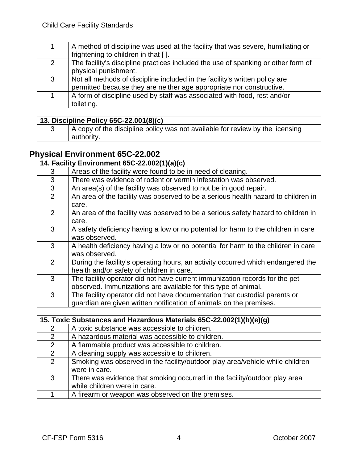|                | A method of discipline was used at the facility that was severe, humiliating or<br>frightening to children in that [].                              |
|----------------|-----------------------------------------------------------------------------------------------------------------------------------------------------|
| $\overline{2}$ | The facility's discipline practices included the use of spanking or other form of<br>physical punishment.                                           |
| 3              | Not all methods of discipline included in the facility's written policy are<br>permitted because they are neither age appropriate nor constructive. |
|                | A form of discipline used by staff was associated with food, rest and/or<br>toileting.                                                              |

## **13. Discipline Policy 65C-22.001(8)(c)**

| A copy of the discipline policy was not available for review by the licensing |
|-------------------------------------------------------------------------------|
| authority.                                                                    |

# **Physical Environment 65C-22.002**

|                | 14. Facility Environment 65C-22.002(1)(a)(c)                                                                                                      |
|----------------|---------------------------------------------------------------------------------------------------------------------------------------------------|
| 3              | Areas of the facility were found to be in need of cleaning.                                                                                       |
| 3              | There was evidence of rodent or vermin infestation was observed.                                                                                  |
| 3              | An area(s) of the facility was observed to not be in good repair.                                                                                 |
| 2              | An area of the facility was observed to be a serious health hazard to children in<br>care.                                                        |
| 2              | An area of the facility was observed to be a serious safety hazard to children in<br>care.                                                        |
| 3              | A safety deficiency having a low or no potential for harm to the children in care<br>was observed.                                                |
| 3              | A health deficiency having a low or no potential for harm to the children in care<br>was observed.                                                |
| $\overline{2}$ | During the facility's operating hours, an activity occurred which endangered the<br>health and/or safety of children in care.                     |
| 3              | The facility operator did not have current immunization records for the pet<br>observed. Immunizations are available for this type of animal.     |
| 3              | The facility operator did not have documentation that custodial parents or<br>guardian are given written notification of animals on the premises. |

|                | 15. Toxic Substances and Hazardous Materials 65C-22.002(1)(b)(e)(g)                                        |  |
|----------------|------------------------------------------------------------------------------------------------------------|--|
| 2              | A toxic substance was accessible to children.                                                              |  |
| 2              | A hazardous material was accessible to children.                                                           |  |
| 2              | A flammable product was accessible to children.                                                            |  |
| 2              | A cleaning supply was accessible to children.                                                              |  |
| $\overline{2}$ | Smoking was observed in the facility/outdoor play area/vehicle while children<br>were in care.             |  |
| 3              | There was evidence that smoking occurred in the facility/outdoor play area<br>while children were in care. |  |
|                | A firearm or weapon was observed on the premises.                                                          |  |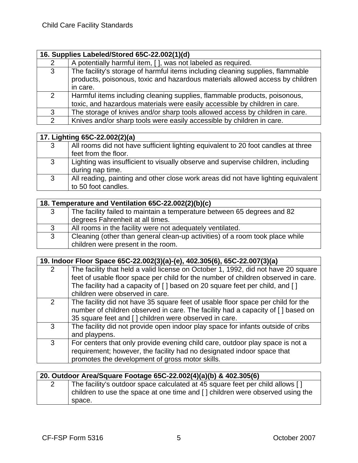|               | 16. Supplies Labeled/Stored 65C-22.002(1)(d)                                                                                                                                |  |
|---------------|-----------------------------------------------------------------------------------------------------------------------------------------------------------------------------|--|
| 2             | A potentially harmful item, [ ], was not labeled as required.                                                                                                               |  |
| 3             | The facility's storage of harmful items including cleaning supplies, flammable<br>products, poisonous, toxic and hazardous materials allowed access by children<br>in care. |  |
| 2             | Harmful items including cleaning supplies, flammable products, poisonous,<br>toxic, and hazardous materials were easily accessible by children in care.                     |  |
| 3             | The storage of knives and/or sharp tools allowed access by children in care.                                                                                                |  |
| $\mathcal{P}$ | Knives and/or sharp tools were easily accessible by children in care.                                                                                                       |  |

|   | 17. Lighting 65C-22.002(2)(a)                                                                             |
|---|-----------------------------------------------------------------------------------------------------------|
| 3 | All rooms did not have sufficient lighting equivalent to 20 foot candles at three<br>feet from the floor. |
| 3 | Lighting was insufficient to visually observe and supervise children, including<br>during nap time.       |
| 3 | All reading, painting and other close work areas did not have lighting equivalent<br>to 50 foot candles.  |

|   | 18. Temperature and Ventilation 65C-22.002(2)(b)(c)                          |  |
|---|------------------------------------------------------------------------------|--|
| 3 | The facility failed to maintain a temperature between 65 degrees and 82      |  |
|   | degrees Fahrenheit at all times.                                             |  |
| 3 | All rooms in the facility were not adequately ventilated.                    |  |
| 3 | Cleaning (other than general clean-up activities) of a room took place while |  |
|   | children were present in the room.                                           |  |

|   | 19. Indoor Floor Space 65C-22.002(3)(a)-(e), 402.305(6), 65C-22.007(3)(a)                                                                                                                                                    |  |
|---|------------------------------------------------------------------------------------------------------------------------------------------------------------------------------------------------------------------------------|--|
| 2 | The facility that held a valid license on October 1, 1992, did not have 20 square<br>feet of usable floor space per child for the number of children observed in care.                                                       |  |
|   | The facility had a capacity of [] based on 20 square feet per child, and []<br>children were observed in care.                                                                                                               |  |
| 2 | The facility did not have 35 square feet of usable floor space per child for the<br>number of children observed in care. The facility had a capacity of [] based on<br>35 square feet and [] children were observed in care. |  |
| 3 | The facility did not provide open indoor play space for infants outside of cribs<br>and playpens.                                                                                                                            |  |
| 3 | For centers that only provide evening child care, outdoor play space is not a<br>requirement; however, the facility had no designated indoor space that<br>promotes the development of gross motor skills.                   |  |

| 20. Outdoor Area/Square Footage 65C-22.002(4)(a)(b) & 402.305(6) |  |                                                                                        |
|------------------------------------------------------------------|--|----------------------------------------------------------------------------------------|
|                                                                  |  | $\blacksquare$ The fecility's outdoor space salculated at $45$ square feet per shild a |

| The facility's outdoor space calculated at 45 square feet per child allows []         |
|---------------------------------------------------------------------------------------|
| children to use the space at one time and $\lceil$ ] children were observed using the |
| space.                                                                                |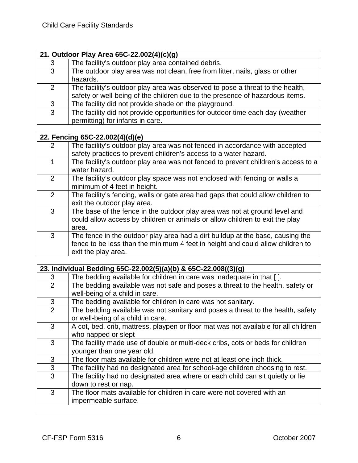|              | 21. Outdoor Play Area 65C-22.002(4)(c)(g)                                                                                                                     |  |
|--------------|---------------------------------------------------------------------------------------------------------------------------------------------------------------|--|
| 3            | The facility's outdoor play area contained debris.                                                                                                            |  |
| 3            | The outdoor play area was not clean, free from litter, nails, glass or other<br>hazards.                                                                      |  |
| 2            | The facility's outdoor play area was observed to pose a threat to the health,<br>safety or well-being of the children due to the presence of hazardous items. |  |
| $\mathbf{3}$ | The facility did not provide shade on the playground.                                                                                                         |  |
| 3            | The facility did not provide opportunities for outdoor time each day (weather<br>permitting) for infants in care.                                             |  |

|               | 22. Fencing 65C-22.002(4)(d)(e)                                                                                                                                                         |
|---------------|-----------------------------------------------------------------------------------------------------------------------------------------------------------------------------------------|
| $\mathcal{P}$ | The facility's outdoor play area was not fenced in accordance with accepted                                                                                                             |
|               | safety practices to prevent children's access to a water hazard.                                                                                                                        |
|               | The facility's outdoor play area was not fenced to prevent children's access to a<br>water hazard.                                                                                      |
| 2             | The facility's outdoor play space was not enclosed with fencing or walls a<br>minimum of 4 feet in height.                                                                              |
| 2             | The facility's fencing, walls or gate area had gaps that could allow children to<br>exit the outdoor play area.                                                                         |
| 3             | The base of the fence in the outdoor play area was not at ground level and<br>could allow access by children or animals or allow children to exit the play<br>area.                     |
| 3             | The fence in the outdoor play area had a dirt buildup at the base, causing the<br>fence to be less than the minimum 4 feet in height and could allow children to<br>exit the play area. |

|   | 23. Individual Bedding 65C-22.002(5)(a)(b) & 65C-22.008((3)(g)                                                       |
|---|----------------------------------------------------------------------------------------------------------------------|
| 3 | The bedding available for children in care was inadequate in that [].                                                |
| 2 | The bedding available was not safe and poses a threat to the health, safety or<br>well-being of a child in care.     |
| 3 | The bedding available for children in care was not sanitary.                                                         |
| 2 | The bedding available was not sanitary and poses a threat to the health, safety<br>or well-being of a child in care. |
| 3 | A cot, bed, crib, mattress, playpen or floor mat was not available for all children<br>who napped or slept           |
| 3 | The facility made use of double or multi-deck cribs, cots or beds for children<br>younger than one year old.         |
| 3 | The floor mats available for children were not at least one inch thick.                                              |
| 3 | The facility had no designated area for school-age children choosing to rest.                                        |
| 3 | The facility had no designated area where or each child can sit quietly or lie<br>down to rest or nap.               |
| 3 | The floor mats available for children in care were not covered with an<br>impermeable surface.                       |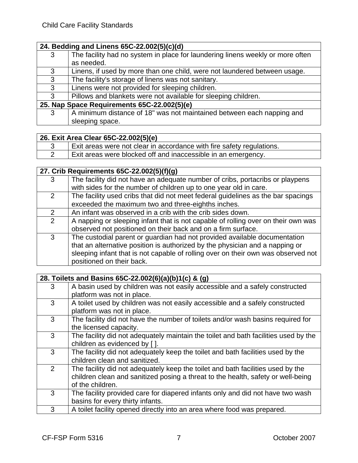### **24. Bedding and Linens 65C-22.002(5)(c)(d)**

| 3                                           | The facility had no system in place for laundering linens weekly or more often |
|---------------------------------------------|--------------------------------------------------------------------------------|
|                                             | as needed.                                                                     |
| 3                                           | Linens, if used by more than one child, were not laundered between usage.      |
| 3                                           | The facility's storage of linens was not sanitary.                             |
| 3                                           | Linens were not provided for sleeping children.                                |
| 3                                           | Pillows and blankets were not available for sleeping children.                 |
| 25. Nap Space Requirements 65C-22.002(5)(e) |                                                                                |
| 3                                           | A minimum distance of 18" was not maintained between each napping and          |
|                                             | sleeping space.                                                                |
|                                             |                                                                                |

### **26. Exit Area Clear 65C-22.002(5)(e)**

| Exit areas were not clear in accordance with fire safety regulations. |
|-----------------------------------------------------------------------|
| I Exit areas were blocked off and inaccessible in an emergency.       |

### **27. Crib Requirements 65C-22.002(5)(f)(g)**

|                | $\blacksquare$                                                                    |
|----------------|-----------------------------------------------------------------------------------|
| 3              | The facility did not have an adequate number of cribs, portacribs or playpens     |
|                | with sides for the number of children up to one year old in care.                 |
| $\overline{2}$ | The facility used cribs that did not meet federal guidelines as the bar spacings  |
|                | exceeded the maximum two and three-eighths inches.                                |
| $\overline{2}$ | An infant was observed in a crib with the crib sides down.                        |
| $\overline{2}$ | A napping or sleeping infant that is not capable of rolling over on their own was |
|                | observed not positioned on their back and on a firm surface.                      |
| 3              | The custodial parent or guardian had not provided available documentation         |
|                | that an alternative position is authorized by the physician and a napping or      |
|                | sleeping infant that is not capable of rolling over on their own was observed not |
|                | positioned on their back.                                                         |
|                |                                                                                   |

|   | 28. Toilets and Basins 65C-22.002(6)(a)(b)1(c) & (g)                                |  |
|---|-------------------------------------------------------------------------------------|--|
| 3 | A basin used by children was not easily accessible and a safely constructed         |  |
|   | platform was not in place.                                                          |  |
| 3 | A toilet used by children was not easily accessible and a safely constructed        |  |
|   | platform was not in place.                                                          |  |
| 3 | The facility did not have the number of toilets and/or wash basins required for     |  |
|   | the licensed capacity.                                                              |  |
| 3 | The facility did not adequately maintain the toilet and bath facilities used by the |  |
|   | children as evidenced by [].                                                        |  |
| 3 | The facility did not adequately keep the toilet and bath facilities used by the     |  |
|   | children clean and sanitized.                                                       |  |
| 2 | The facility did not adequately keep the toilet and bath facilities used by the     |  |
|   | children clean and sanitized posing a threat to the health, safety or well-being    |  |
|   | of the children.                                                                    |  |
| 3 | The facility provided care for diapered infants only and did not have two wash      |  |
|   | basins for every thirty infants.                                                    |  |
| 3 | A toilet facility opened directly into an area where food was prepared.             |  |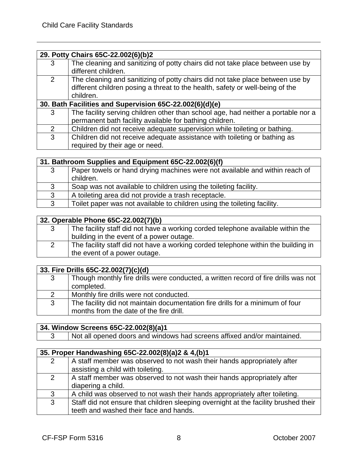|                                                         | 29. Potty Chairs 65C-22.002(6)(b)2                                                                                                                                          |
|---------------------------------------------------------|-----------------------------------------------------------------------------------------------------------------------------------------------------------------------------|
| 3                                                       | The cleaning and sanitizing of potty chairs did not take place between use by<br>different children.                                                                        |
| 2                                                       | The cleaning and sanitizing of potty chairs did not take place between use by<br>different children posing a threat to the health, safety or well-being of the<br>children. |
| 30. Bath Facilities and Supervision 65C-22.002(6)(d)(e) |                                                                                                                                                                             |
| 3                                                       | The facility serving children other than school age, had neither a portable nor a<br>permanent bath facility available for bathing children.                                |
| 2                                                       | Children did not receive adequate supervision while toileting or bathing.                                                                                                   |
| 3                                                       | Children did not receive adequate assistance with toileting or bathing as<br>required by their age or need.                                                                 |

| 31. Bathroom Supplies and Equipment 65C-22.002(6)(f) |                                                                                          |
|------------------------------------------------------|------------------------------------------------------------------------------------------|
| 3                                                    | Paper towels or hand drying machines were not available and within reach of<br>children. |
| 3                                                    | Soap was not available to children using the toileting facility.                         |
| 3                                                    | A toileting area did not provide a trash receptacle.                                     |
| 3                                                    | Toilet paper was not available to children using the toileting facility.                 |

#### **32. Operable Phone 65C-22.002(7)(b)**

| The facility staff did not have a working corded telephone available within the                                   |
|-------------------------------------------------------------------------------------------------------------------|
| building in the event of a power outage.                                                                          |
| The facility staff did not have a working corded telephone within the building in<br>the event of a power outage. |
|                                                                                                                   |

|               | 33. Fire Drills 65C-22.002(7)(c)(d)                                                                                      |  |
|---------------|--------------------------------------------------------------------------------------------------------------------------|--|
| 3             | Though monthly fire drills were conducted, a written record of fire drills was not<br>completed.                         |  |
| $\mathcal{P}$ | Monthly fire drills were not conducted.                                                                                  |  |
| 3             | The facility did not maintain documentation fire drills for a minimum of four<br>months from the date of the fire drill. |  |

#### **34. Window Screens 65C-22.002(8)(a)1**

3 Not all opened doors and windows had screens affixed and/or maintained.

|   | 35. Proper Handwashing 65C-22.002(8)(a)2 & 4,(b)1                                                                             |  |
|---|-------------------------------------------------------------------------------------------------------------------------------|--|
| 2 | A staff member was observed to not wash their hands appropriately after<br>assisting a child with toileting.                  |  |
| 2 | A staff member was observed to not wash their hands appropriately after<br>diapering a child.                                 |  |
| 3 | A child was observed to not wash their hands appropriately after toileting.                                                   |  |
| 3 | Staff did not ensure that children sleeping overnight at the facility brushed their<br>teeth and washed their face and hands. |  |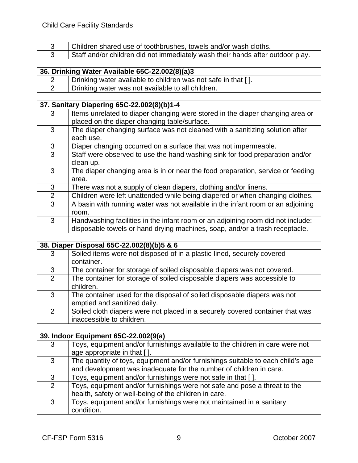| Children shared use of toothbrushes, towels and/or wash cloths.                  |
|----------------------------------------------------------------------------------|
| . Staff and/or children did not immediately wash their hands after outdoor play. |

## **36. Drinking Water Available 65C-22.002(8)(a)3**

| Drinking water available to children was not safe in that []. |
|---------------------------------------------------------------|
| Drinking water was not available to all children.             |

## **37. Sanitary Diapering 65C-22.002(8)(b)1-4**

|                | , ____________                                                                                                                |
|----------------|-------------------------------------------------------------------------------------------------------------------------------|
| 3              | Items unrelated to diaper changing were stored in the diaper changing area or<br>placed on the diaper changing table/surface. |
|                |                                                                                                                               |
| 3              | The diaper changing surface was not cleaned with a sanitizing solution after                                                  |
|                | each use.                                                                                                                     |
| 3              | Diaper changing occurred on a surface that was not impermeable.                                                               |
| 3              | Staff were observed to use the hand washing sink for food preparation and/or                                                  |
|                | clean up.                                                                                                                     |
| 3              | The diaper changing area is in or near the food preparation, service or feeding                                               |
|                | area.                                                                                                                         |
| 3              | There was not a supply of clean diapers, clothing and/or linens.                                                              |
| $\overline{2}$ | Children were left unattended while being diapered or when changing clothes.                                                  |
| 3              | A basin with running water was not available in the infant room or an adjoining                                               |
|                | room.                                                                                                                         |
| 3              | Handwashing facilities in the infant room or an adjoining room did not include:                                               |
|                | disposable towels or hand drying machines, soap, and/or a trash receptacle.                                                   |

## **38. Diaper Disposal 65C-22.002(8)(b)5 & 6**

| 3              | Soiled items were not disposed of in a plastic-lined, securely covered        |
|----------------|-------------------------------------------------------------------------------|
|                | container.                                                                    |
| 3              | The container for storage of soiled disposable diapers was not covered.       |
| $\overline{2}$ | The container for storage of soiled disposable diapers was accessible to      |
|                | children.                                                                     |
| 3              | The container used for the disposal of soiled disposable diapers was not      |
|                | emptied and sanitized daily.                                                  |
| $\overline{2}$ | Soiled cloth diapers were not placed in a securely covered container that was |
|                | inaccessible to children.                                                     |

## **39. Indoor Equipment 65C-22.002(9(a)**

|                | <u> JU: :::WUU: EUM:p:::V::: VUU EE!VV=\V\U/</u>                                |  |
|----------------|---------------------------------------------------------------------------------|--|
| 3              | Toys, equipment and/or furnishings available to the children in care were not   |  |
|                | age appropriate in that [].                                                     |  |
| 3              | The quantity of toys, equipment and/or furnishings suitable to each child's age |  |
|                | and development was inadequate for the number of children in care.              |  |
| 3              | Toys, equipment and/or furnishings were not safe in that [].                    |  |
| $\overline{2}$ | Toys, equipment and/or furnishings were not safe and pose a threat to the       |  |
|                | health, safety or well-being of the children in care.                           |  |
| 3              | Toys, equipment and/or furnishings were not maintained in a sanitary            |  |
|                | condition.                                                                      |  |

٦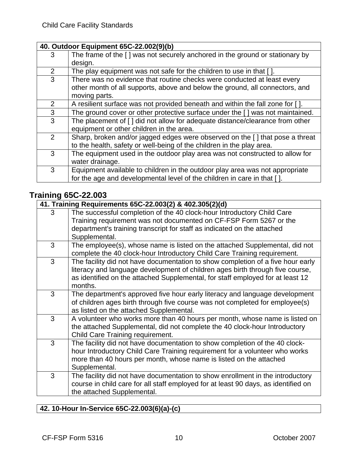#### **40. Outdoor Equipment 65C-22.002(9)(b)**

|                | — 1 <del>—</del> 1 1 — 1                                                      |
|----------------|-------------------------------------------------------------------------------|
| 3              | The frame of the [] was not securely anchored in the ground or stationary by  |
|                | design.                                                                       |
| $\overline{2}$ | The play equipment was not safe for the children to use in that [].           |
| 3              | There was no evidence that routine checks were conducted at least every       |
|                | other month of all supports, above and below the ground, all connectors, and  |
|                | moving parts.                                                                 |
| $\overline{2}$ | A resilient surface was not provided beneath and within the fall zone for []. |
| 3              | The ground cover or other protective surface under the [] was not maintained. |
| 3              | The placement of [] did not allow for adequate distance/clearance from other  |
|                | equipment or other children in the area.                                      |
| $\overline{2}$ | Sharp, broken and/or jagged edges were observed on the [] that pose a threat  |
|                | to the health, safety or well-being of the children in the play area.         |
| 3              | The equipment used in the outdoor play area was not constructed to allow for  |
|                | water drainage.                                                               |
| 3              | Equipment available to children in the outdoor play area was not appropriate  |
|                | for the age and developmental level of the children in care in that [].       |
|                |                                                                               |

## **Training 65C-22.003**

|   | 41. Training Requirements 65C-22.003(2) & 402.305(2)(d)                                                                                                                                                                                                       |  |
|---|---------------------------------------------------------------------------------------------------------------------------------------------------------------------------------------------------------------------------------------------------------------|--|
| 3 | The successful completion of the 40 clock-hour Introductory Child Care<br>Training requirement was not documented on CF-FSP Form 5267 or the<br>department's training transcript for staff as indicated on the attached<br>Supplemental.                      |  |
| 3 | The employee(s), whose name is listed on the attached Supplemental, did not<br>complete the 40 clock-hour Introductory Child Care Training requirement.                                                                                                       |  |
| 3 | The facility did not have documentation to show completion of a five hour early<br>literacy and language development of children ages birth through five course,<br>as identified on the attached Supplemental, for staff employed for at least 12<br>months. |  |
| 3 | The department's approved five hour early literacy and language development<br>of children ages birth through five course was not completed for employee(s)<br>as listed on the attached Supplemental.                                                        |  |
| 3 | A volunteer who works more than 40 hours per month, whose name is listed on<br>the attached Supplemental, did not complete the 40 clock-hour Introductory<br>Child Care Training requirement.                                                                 |  |
| 3 | The facility did not have documentation to show completion of the 40 clock-<br>hour Introductory Child Care Training requirement for a volunteer who works<br>more than 40 hours per month, whose name is listed on the attached<br>Supplemental.             |  |
| 3 | The facility did not have documentation to show enrollment in the introductory<br>course in child care for all staff employed for at least 90 days, as identified on<br>the attached Supplemental.                                                            |  |

#### **42. 10-Hour In-Service 65C-22.003(6)(a)-(c)**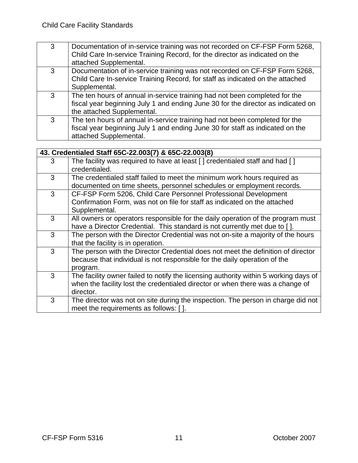| 3 | Documentation of in-service training was not recorded on CF-FSP Form 5268,<br>Child Care In-service Training Record, for the director as indicated on the<br>attached Supplemental.          |
|---|----------------------------------------------------------------------------------------------------------------------------------------------------------------------------------------------|
| 3 | Documentation of in-service training was not recorded on CF-FSP Form 5268,<br>Child Care In-service Training Record, for staff as indicated on the attached<br>Supplemental.                 |
| 3 | The ten hours of annual in-service training had not been completed for the<br>fiscal year beginning July 1 and ending June 30 for the director as indicated on<br>the attached Supplemental. |
| 3 | The ten hours of annual in-service training had not been completed for the<br>fiscal year beginning July 1 and ending June 30 for staff as indicated on the<br>attached Supplemental.        |

|   | 43. Credentialed Staff 65C-22.003(7) & 65C-22.003(8)                                                                                                                                |
|---|-------------------------------------------------------------------------------------------------------------------------------------------------------------------------------------|
| 3 | The facility was required to have at least [] credentialed staff and had []<br>credentialed.                                                                                        |
| 3 | The credentialed staff failed to meet the minimum work hours required as<br>documented on time sheets, personnel schedules or employment records.                                   |
| 3 | CF-FSP Form 5206, Child Care Personnel Professional Development<br>Confirmation Form, was not on file for staff as indicated on the attached<br>Supplemental.                       |
| 3 | All owners or operators responsible for the daily operation of the program must<br>have a Director Credential. This standard is not currently met due to [].                        |
| 3 | The person with the Director Credential was not on-site a majority of the hours<br>that the facility is in operation.                                                               |
| 3 | The person with the Director Credential does not meet the definition of director<br>because that individual is not responsible for the daily operation of the<br>program.           |
| 3 | The facility owner failed to notify the licensing authority within 5 working days of<br>when the facility lost the credentialed director or when there was a change of<br>director. |
| 3 | The director was not on site during the inspection. The person in charge did not<br>meet the requirements as follows: [].                                                           |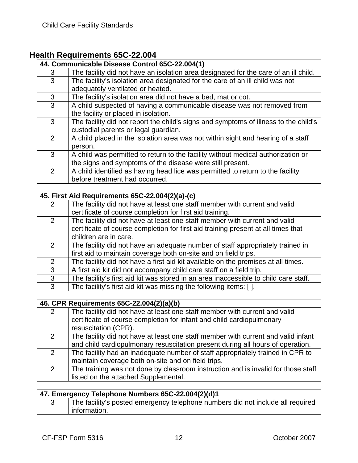## **Health Requirements 65C-22.004**

|               | 44. Communicable Disease Control 65C-22.004(1)                                                                                                |
|---------------|-----------------------------------------------------------------------------------------------------------------------------------------------|
| 3             | The facility did not have an isolation area designated for the care of an ill child.                                                          |
| 3             | The facility's isolation area designated for the care of an ill child was not<br>adequately ventilated or heated.                             |
| 3             | The facility's isolation area did not have a bed, mat or cot.                                                                                 |
| 3             | A child suspected of having a communicable disease was not removed from<br>the facility or placed in isolation.                               |
| 3             | The facility did not report the child's signs and symptoms of illness to the child's<br>custodial parents or legal guardian.                  |
| $\mathcal{P}$ | A child placed in the isolation area was not within sight and hearing of a staff<br>person.                                                   |
| 3             | A child was permitted to return to the facility without medical authorization or<br>the signs and symptoms of the disease were still present. |
| 2             | A child identified as having head lice was permitted to return to the facility<br>before treatment had occurred.                              |

|               | 45. First Aid Requirements 65C-22.004(2)(a)-(c)                                      |
|---------------|--------------------------------------------------------------------------------------|
| 2             | The facility did not have at least one staff member with current and valid           |
|               | certificate of course completion for first aid training.                             |
| 2             | The facility did not have at least one staff member with current and valid           |
|               | certificate of course completion for first aid training present at all times that    |
|               | children are in care.                                                                |
| 2             | The facility did not have an adequate number of staff appropriately trained in       |
|               | first aid to maintain coverage both on-site and on field trips.                      |
| $\mathcal{P}$ | The facility did not have a first aid kit available on the premises at all times.    |
| 3             | A first aid kit did not accompany child care staff on a field trip.                  |
| 3             | The facility's first aid kit was stored in an area inaccessible to child care staff. |
| 3             | The facility's first aid kit was missing the following items: [].                    |

#### **46. CPR Requirements 65C-22.004(2)(a)(b)**

| $\overline{2}$ | The facility did not have at least one staff member with current and valid        |
|----------------|-----------------------------------------------------------------------------------|
|                | certificate of course completion for infant and child cardiopulmonary             |
|                | resuscitation (CPR).                                                              |
| $\overline{2}$ | The facility did not have at least one staff member with current and valid infant |
|                | and child cardiopulmonary resuscitation present during all hours of operation.    |
| $\mathcal{P}$  | The facility had an inadequate number of staff appropriately trained in CPR to    |
|                | maintain coverage both on-site and on field trips.                                |
| $\overline{2}$ | The training was not done by classroom instruction and is invalid for those staff |
|                | listed on the attached Supplemental.                                              |

| 47. Emergency Telephone Numbers 65C-22.004(2)(d)1 |  |                                                                                |
|---------------------------------------------------|--|--------------------------------------------------------------------------------|
|                                                   |  | The facility's posted emergency telephone numbers did not include all required |
|                                                   |  | information.                                                                   |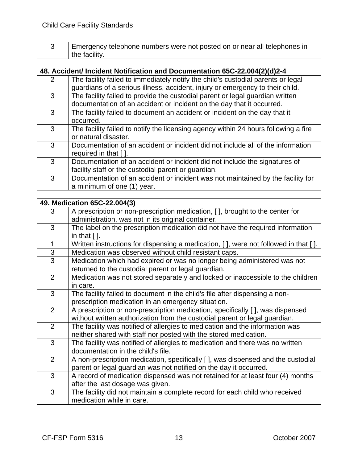| Emergency telephone numbers were not posted on or near all telephones in |
|--------------------------------------------------------------------------|
| $\parallel$ the facility.                                                |

|               | 48. Accident/ Incident Notification and Documentation 65C-22.004(2)(d)2-4           |
|---------------|-------------------------------------------------------------------------------------|
| $\mathcal{P}$ | The facility failed to immediately notify the child's custodial parents or legal    |
|               | guardians of a serious illness, accident, injury or emergency to their child.       |
| 3             | The facility failed to provide the custodial parent or legal guardian written       |
|               | documentation of an accident or incident on the day that it occurred.               |
| 3             | The facility failed to document an accident or incident on the day that it          |
|               | occurred.                                                                           |
| 3             | The facility failed to notify the licensing agency within 24 hours following a fire |
|               | or natural disaster.                                                                |
| 3             | Documentation of an accident or incident did not include all of the information     |
|               | required in that [].                                                                |
| 3             | Documentation of an accident or incident did not include the signatures of          |
|               | facility staff or the custodial parent or guardian.                                 |
| 3             | Documentation of an accident or incident was not maintained by the facility for     |
|               | a minimum of one (1) year.                                                          |
|               |                                                                                     |

|                | 49. Medication 65C-22.004(3)                                                                                      |
|----------------|-------------------------------------------------------------------------------------------------------------------|
| 3              | A prescription or non-prescription medication, [], brought to the center for                                      |
|                | administration, was not in its original container.                                                                |
| 3              | The label on the prescription medication did not have the required information<br>in that $\lceil \cdot \rceil$ . |
| $\mathbf{1}$   | Written instructions for dispensing a medication, [], were not followed in that [].                               |
| $\mathfrak{S}$ | Medication was observed without child resistant caps.                                                             |
| 3              | Medication which had expired or was no longer being administered was not                                          |
|                | returned to the custodial parent or legal guardian.                                                               |
| 2              | Medication was not stored separately and locked or inaccessible to the children                                   |
|                | in care.                                                                                                          |
| 3              | The facility failed to document in the child's file after dispensing a non-                                       |
|                | prescription medication in an emergency situation.                                                                |
| 2              | A prescription or non-prescription medication, specifically [], was dispensed                                     |
|                | without written authorization from the custodial parent or legal guardian.                                        |
| 2              | The facility was notified of allergies to medication and the information was                                      |
|                | neither shared with staff nor posted with the stored medication.                                                  |
| 3              | The facility was notified of allergies to medication and there was no written                                     |
|                | documentation in the child's file.                                                                                |
| 2              | A non-prescription medication, specifically [], was dispensed and the custodial                                   |
|                | parent or legal guardian was not notified on the day it occurred.                                                 |
| 3              | A record of medication dispensed was not retained for at least four (4) months                                    |
|                | after the last dosage was given.                                                                                  |
| 3              | The facility did not maintain a complete record for each child who received                                       |
|                | medication while in care.                                                                                         |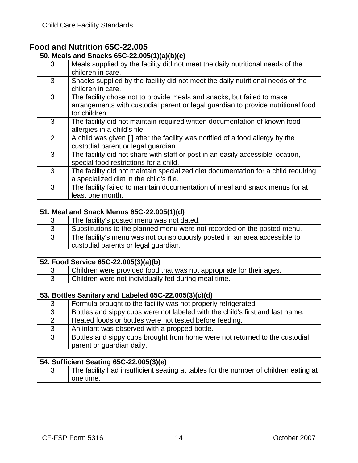## **Food and Nutrition 65C-22.005**

| 50. Meals and Snacks 65C-22.005(1)(a)(b)(c) |                                                                                                      |
|---------------------------------------------|------------------------------------------------------------------------------------------------------|
| 3                                           | Meals supplied by the facility did not meet the daily nutritional needs of the                       |
|                                             | children in care.                                                                                    |
| 3                                           | Snacks supplied by the facility did not meet the daily nutritional needs of the<br>children in care. |
|                                             |                                                                                                      |
| 3                                           | The facility chose not to provide meals and snacks, but failed to make                               |
|                                             | arrangements with custodial parent or legal guardian to provide nutritional food<br>for children.    |
| 3                                           | The facility did not maintain required written documentation of known food                           |
|                                             | allergies in a child's file.                                                                         |
| 2                                           | A child was given [] after the facility was notified of a food allergy by the                        |
|                                             | custodial parent or legal guardian.                                                                  |
| 3                                           | The facility did not share with staff or post in an easily accessible location,                      |
|                                             | special food restrictions for a child.                                                               |
| 3                                           | The facility did not maintain specialized diet documentation for a child requiring                   |
|                                             | a specialized diet in the child's file.                                                              |
| 3                                           | The facility failed to maintain documentation of meal and snack menus for at                         |
|                                             | least one month.                                                                                     |

|   | 51. Meal and Snack Menus 65C-22.005(1)(d)                                                                         |
|---|-------------------------------------------------------------------------------------------------------------------|
| 3 | The facility's posted menu was not dated.                                                                         |
| 3 | Substitutions to the planned menu were not recorded on the posted menu.                                           |
| 3 | The facility's menu was not conspicuously posted in an area accessible to<br>custodial parents or legal guardian. |

## **52. Food Service 65C-22.005(3)(a)(b)**

| Children were provided food that was not appropriate for their ages. |
|----------------------------------------------------------------------|
| Children were not individually fed during meal time.                 |

|   | 53. Bottles Sanitary and Labeled 65C-22.005(3)(c)(d)                          |  |
|---|-------------------------------------------------------------------------------|--|
| 3 | Formula brought to the facility was not properly refrigerated.                |  |
| 3 | Bottles and sippy cups were not labeled with the child's first and last name. |  |
| 2 | Heated foods or bottles were not tested before feeding.                       |  |
| 3 | An infant was observed with a propped bottle.                                 |  |
| 3 | Bottles and sippy cups brought from home were not returned to the custodial   |  |
|   | parent or guardian daily.                                                     |  |

## **54. Sufficient Seating 65C-22.005(3)(e)**

| The facility had insufficient seating at tables for the number of children eating at |
|--------------------------------------------------------------------------------------|
| one time.                                                                            |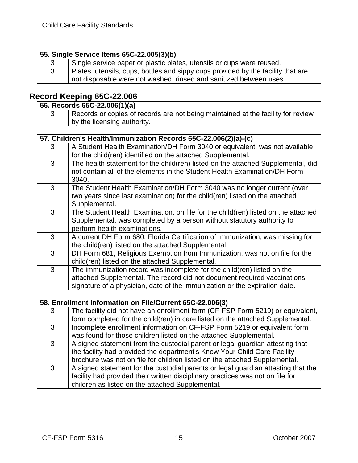| 55. Single Service Items 65C-22.005(3)(b)                                                                                                              |
|--------------------------------------------------------------------------------------------------------------------------------------------------------|
| Single service paper or plastic plates, utensils or cups were reused.                                                                                  |
| Plates, utensils, cups, bottles and sippy cups provided by the facility that are<br>not disposable were not washed, rinsed and sanitized between uses. |

## **Record Keeping 65C-22.006**

|  | 56. Records 65C-22.006(1)(a)                                                     |
|--|----------------------------------------------------------------------------------|
|  | Records or copies of records are not being maintained at the facility for review |
|  | I by the licensing authority.                                                    |

| 57. Children's Health/Immunization Records 65C-22.006(2)(a)-(c) |                                                                                                                                                                                                                                    |
|-----------------------------------------------------------------|------------------------------------------------------------------------------------------------------------------------------------------------------------------------------------------------------------------------------------|
| 3                                                               | A Student Health Examination/DH Form 3040 or equivalent, was not available<br>for the child(ren) identified on the attached Supplemental.                                                                                          |
| 3                                                               | The health statement for the child(ren) listed on the attached Supplemental, did<br>not contain all of the elements in the Student Health Examination/DH Form<br>3040.                                                             |
| 3                                                               | The Student Health Examination/DH Form 3040 was no longer current (over<br>two years since last examination) for the child(ren) listed on the attached<br>Supplemental.                                                            |
| 3                                                               | The Student Health Examination, on file for the child(ren) listed on the attached<br>Supplemental, was completed by a person without statutory authority to<br>perform health examinations.                                        |
| 3                                                               | A current DH Form 680, Florida Certification of Immunization, was missing for<br>the child(ren) listed on the attached Supplemental.                                                                                               |
| 3                                                               | DH Form 681, Religious Exemption from Immunization, was not on file for the<br>child(ren) listed on the attached Supplemental.                                                                                                     |
| 3                                                               | The immunization record was incomplete for the child(ren) listed on the<br>attached Supplemental. The record did not document required vaccinations,<br>signature of a physician, date of the immunization or the expiration date. |
|                                                                 |                                                                                                                                                                                                                                    |

## **58. Enrollment Information on File/Current 65C-22.006(3)**

| 3 | The facility did not have an enrollment form (CF-FSP Form 5219) or equivalent,    |
|---|-----------------------------------------------------------------------------------|
|   | form completed for the child(ren) in care listed on the attached Supplemental.    |
| 3 | Incomplete enrollment information on CF-FSP Form 5219 or equivalent form          |
|   | was found for those children listed on the attached Supplemental.                 |
| 3 | A signed statement from the custodial parent or legal guardian attesting that     |
|   | the facility had provided the department's Know Your Child Care Facility          |
|   | brochure was not on file for children listed on the attached Supplemental.        |
| 3 | A signed statement for the custodial parents or legal guardian attesting that the |
|   | facility had provided their written disciplinary practices was not on file for    |
|   | children as listed on the attached Supplemental.                                  |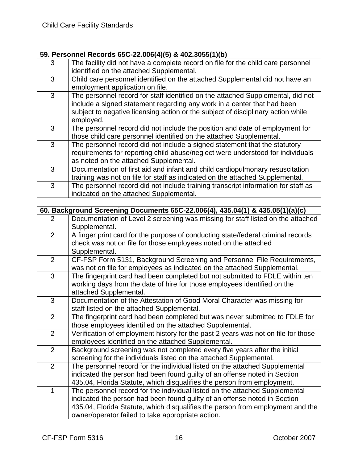| 59. Personnel Records 65C-22.006(4)(5) & 402.3055(1)(b) |                                                                                                                                                                                                                                                             |  |
|---------------------------------------------------------|-------------------------------------------------------------------------------------------------------------------------------------------------------------------------------------------------------------------------------------------------------------|--|
| 3                                                       | The facility did not have a complete record on file for the child care personnel<br>identified on the attached Supplemental.                                                                                                                                |  |
| 3                                                       | Child care personnel identified on the attached Supplemental did not have an<br>employment application on file.                                                                                                                                             |  |
| 3                                                       | The personnel record for staff identified on the attached Supplemental, did not<br>include a signed statement regarding any work in a center that had been<br>subject to negative licensing action or the subject of disciplinary action while<br>employed. |  |
| 3                                                       | The personnel record did not include the position and date of employment for<br>those child care personnel identified on the attached Supplemental.                                                                                                         |  |
| 3                                                       | The personnel record did not include a signed statement that the statutory<br>requirements for reporting child abuse/neglect were understood for individuals<br>as noted on the attached Supplemental.                                                      |  |
| 3                                                       | Documentation of first aid and infant and child cardiopulmonary resuscitation<br>training was not on file for staff as indicated on the attached Supplemental.                                                                                              |  |
| 3                                                       | The personnel record did not include training transcript information for staff as<br>indicated on the attached Supplemental.                                                                                                                                |  |

|               | 60. Background Screening Documents 65C-22.006(4), 435.04(1) & 435.05(1)(a)(c)                                                                                                                                                                                                                   |  |  |
|---------------|-------------------------------------------------------------------------------------------------------------------------------------------------------------------------------------------------------------------------------------------------------------------------------------------------|--|--|
| 2             | Documentation of Level 2 screening was missing for staff listed on the attached<br>Supplemental.                                                                                                                                                                                                |  |  |
| 2             | A finger print card for the purpose of conducting state/federal criminal records<br>check was not on file for those employees noted on the attached<br>Supplemental.                                                                                                                            |  |  |
| 2             | CF-FSP Form 5131, Background Screening and Personnel File Requirements,<br>was not on file for employees as indicated on the attached Supplemental.                                                                                                                                             |  |  |
| 3             | The fingerprint card had been completed but not submitted to FDLE within ten<br>working days from the date of hire for those employees identified on the<br>attached Supplemental.                                                                                                              |  |  |
| 3             | Documentation of the Attestation of Good Moral Character was missing for<br>staff listed on the attached Supplemental.                                                                                                                                                                          |  |  |
| 2             | The fingerprint card had been completed but was never submitted to FDLE for<br>those employees identified on the attached Supplemental.                                                                                                                                                         |  |  |
| 2             | Verification of employment history for the past 2 years was not on file for those<br>employees identified on the attached Supplemental.                                                                                                                                                         |  |  |
| $\mathcal{P}$ | Background screening was not completed every five years after the initial<br>screening for the individuals listed on the attached Supplemental.                                                                                                                                                 |  |  |
| 2             | The personnel record for the individual listed on the attached Supplemental<br>indicated the person had been found guilty of an offense noted in Section<br>435.04, Florida Statute, which disqualifies the person from employment.                                                             |  |  |
| 1             | The personnel record for the individual listed on the attached Supplemental<br>indicated the person had been found guilty of an offense noted in Section<br>435.04, Florida Statute, which disqualifies the person from employment and the<br>owner/operator failed to take appropriate action. |  |  |